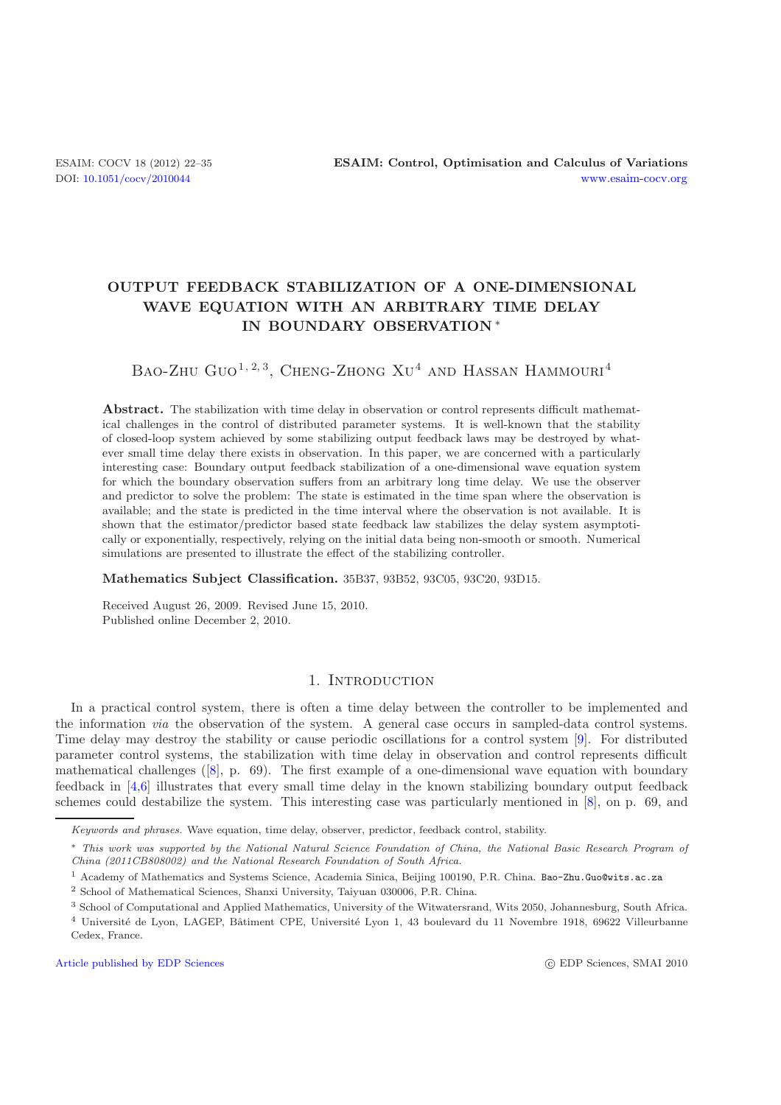## **OUTPUT FEEDBACK STABILIZATION OF A ONE-DIMENSIONAL WAVE EQUATION WITH AN ARBITRARY TIME DELAY IN BOUNDARY OBSERVATION** ∗

# BAO-ZHU GUO<sup>1, 2, 3</sup>, CHENG-ZHONG XU<sup>4</sup> AND HASSAN HAMMOURI<sup>4</sup>

**Abstract.** The stabilization with time delay in observation or control represents difficult mathematical challenges in the control of distributed parameter systems. It is well-known that the stability of closed-loop system achieved by some stabilizing output feedback laws may be destroyed by whatever small time delay there exists in observation. In this paper, we are concerned with a particularly interesting case: Boundary output feedback stabilization of a one-dimensional wave equation system for which the boundary observation suffers from an arbitrary long time delay. We use the observer and predictor to solve the problem: The state is estimated in the time span where the observation is available; and the state is predicted in the time interval where the observation is not available. It is shown that the estimator/predictor based state feedback law stabilizes the delay system asymptotically or exponentially, respectively, relying on the initial data being non-smooth or smooth. Numerical simulations are presented to illustrate the effect of the stabilizing controller.

**Mathematics Subject Classification.** 35B37, 93B52, 93C05, 93C20, 93D15.

Received August 26, 2009. Revised June 15, 2010. Published online December 2, 2010.

#### 1. INTRODUCTION

In a practical control system, there is often a time delay between the controller to be implemented and the information *via* the observation of the system. A general case occurs in sampled-data control systems. Time delay may destroy the stability or cause periodic oscillations for a control system [\[9\]](#page-13-0). For distributed parameter control systems, the stabilization with time delay in observation and control represents difficult mathematical challenges  $([8], p. 69)$  $([8], p. 69)$  $([8], p. 69)$ . The first example of a one-dimensional wave equation with boundary feedback in [\[4](#page-13-2)[,6](#page-13-3)] illustrates that every small time delay in the known stabilizing boundary output feedback schemes could destabilize the system. This interesting case was particularly mentioned in [\[8](#page-13-1)], on p. 69, and

Keywords and phrases. Wave equation, time delay, observer, predictor, feedback control, stability.

<sup>∗</sup> This work was supported by the National Natural Science Foundation of China, the National Basic Research Program of China (2011CB808002) and the National Research Foundation of South Africa.

<sup>1</sup> Academy of Mathematics and Systems Science, Academia Sinica, Beijing 100190, P.R. China. Bao-Zhu.Guo@wits.ac.za

<sup>2</sup> School of Mathematical Sciences, Shanxi University, Taiyuan 030006, P.R. China.

<sup>3</sup> School of Computational and Applied Mathematics, University of the Witwatersrand, Wits 2050, Johannesburg, South Africa. <sup>4</sup> Université de Lyon, LAGEP, Bâtiment CPE, Université Lyon 1, 43 boulevard du 11 Novembre 1918, 69622 Villeurbanne Cedex, France.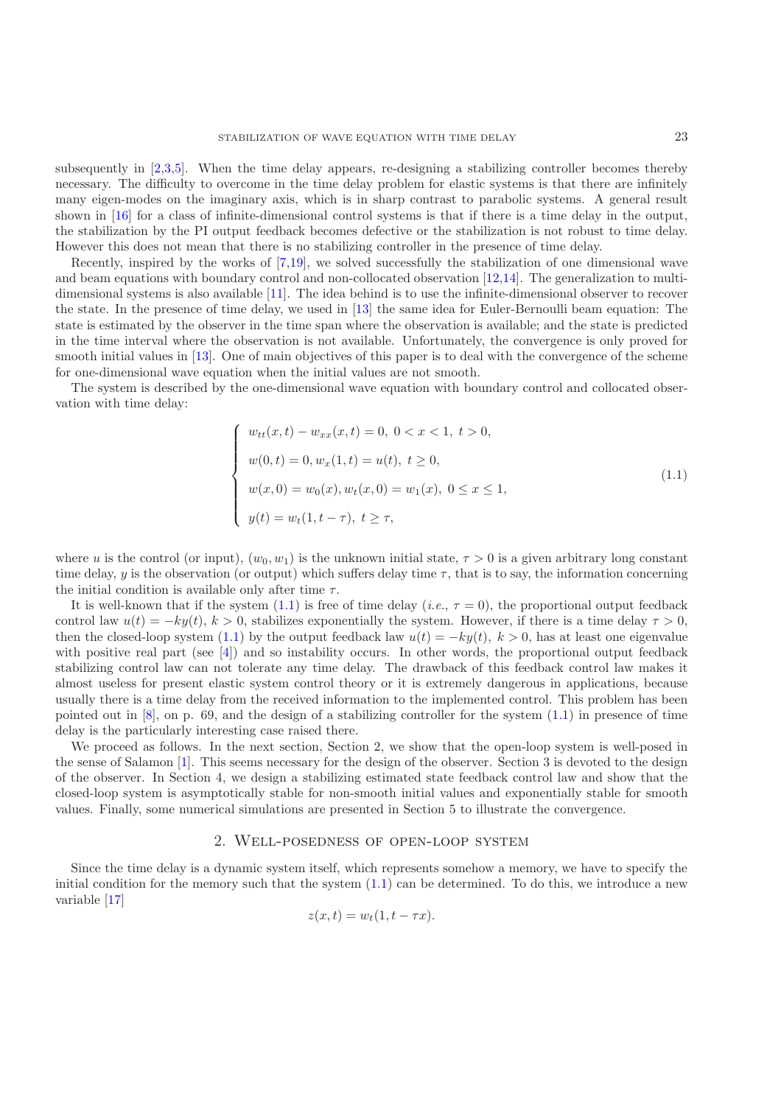subsequently in [\[2](#page-13-4)[,3](#page-13-5)[,5](#page-13-6)]. When the time delay appears, re-designing a stabilizing controller becomes thereby necessary. The difficulty to overcome in the time delay problem for elastic systems is that there are infinitely many eigen-modes on the imaginary axis, which is in sharp contrast to parabolic systems. A general result shown in [\[16\]](#page-13-7) for a class of infinite-dimensional control systems is that if there is a time delay in the output, the stabilization by the PI output feedback becomes defective or the stabilization is not robust to time delay. However this does not mean that there is no stabilizing controller in the presence of time delay.

Recently, inspired by the works of [\[7](#page-13-8)[,19\]](#page-13-9), we solved successfully the stabilization of one dimensional wave and beam equations with boundary control and non-collocated observation [\[12](#page-13-10)[,14](#page-13-11)]. The generalization to multidimensional systems is also available [\[11\]](#page-13-12). The idea behind is to use the infinite-dimensional observer to recover the state. In the presence of time delay, we used in [\[13](#page-13-13)] the same idea for Euler-Bernoulli beam equation: The state is estimated by the observer in the time span where the observation is available; and the state is predicted in the time interval where the observation is not available. Unfortunately, the convergence is only proved for smooth initial values in [\[13\]](#page-13-13). One of main objectives of this paper is to deal with the convergence of the scheme for one-dimensional wave equation when the initial values are not smooth.

The system is described by the one-dimensional wave equation with boundary control and collocated observation with time delay:

<span id="page-1-0"></span>
$$
\begin{cases}\nw_{tt}(x,t) - w_{xx}(x,t) = 0, \ 0 < x < 1, \ t > 0, \\
w(0,t) = 0, w_x(1,t) = u(t), \ t \ge 0, \\
w(x,0) = w_0(x), w_t(x,0) = w_1(x), \ 0 < x \le 1, \\
y(t) = w_t(1, t - \tau), \ t \ge \tau,\n\end{cases} \tag{1.1}
$$

where u is the control (or input),  $(w_0, w_1)$  is the unknown initial state,  $\tau > 0$  is a given arbitrary long constant time delay, y is the observation (or output) which suffers delay time  $\tau$ , that is to say, the information concerning the initial condition is available only after time  $\tau$ .

It is well-known that if the system  $(1.1)$  is free of time delay  $(i.e., \tau = 0)$ , the proportional output feedback control law  $u(t) = -ky(t), k > 0$ , stabilizes exponentially the system. However, if there is a time delay  $\tau > 0$ , then the closed-loop system [\(1.1\)](#page-1-0) by the output feedback law  $u(t) = -ky(t)$ ,  $k > 0$ , has at least one eigenvalue with positive real part (see [\[4\]](#page-13-2)) and so instability occurs. In other words, the proportional output feedback stabilizing control law can not tolerate any time delay. The drawback of this feedback control law makes it almost useless for present elastic system control theory or it is extremely dangerous in applications, because usually there is a time delay from the received information to the implemented control. This problem has been pointed out in  $[8]$  $[8]$ , on p. 69, and the design of a stabilizing controller for the system  $(1.1)$  in presence of time delay is the particularly interesting case raised there.

We proceed as follows. In the next section, Section 2, we show that the open-loop system is well-posed in the sense of Salamon [\[1\]](#page-13-14). This seems necessary for the design of the observer. Section 3 is devoted to the design of the observer. In Section 4, we design a stabilizing estimated state feedback control law and show that the closed-loop system is asymptotically stable for non-smooth initial values and exponentially stable for smooth values. Finally, some numerical simulations are presented in Section 5 to illustrate the convergence.

#### 2. Well-posedness of open-loop system

Since the time delay is a dynamic system itself, which represents somehow a memory, we have to specify the initial condition for the memory such that the system  $(1.1)$  can be determined. To do this, we introduce a new variable [\[17](#page-13-15)]

$$
z(x,t) = w_t(1, t - \tau x).
$$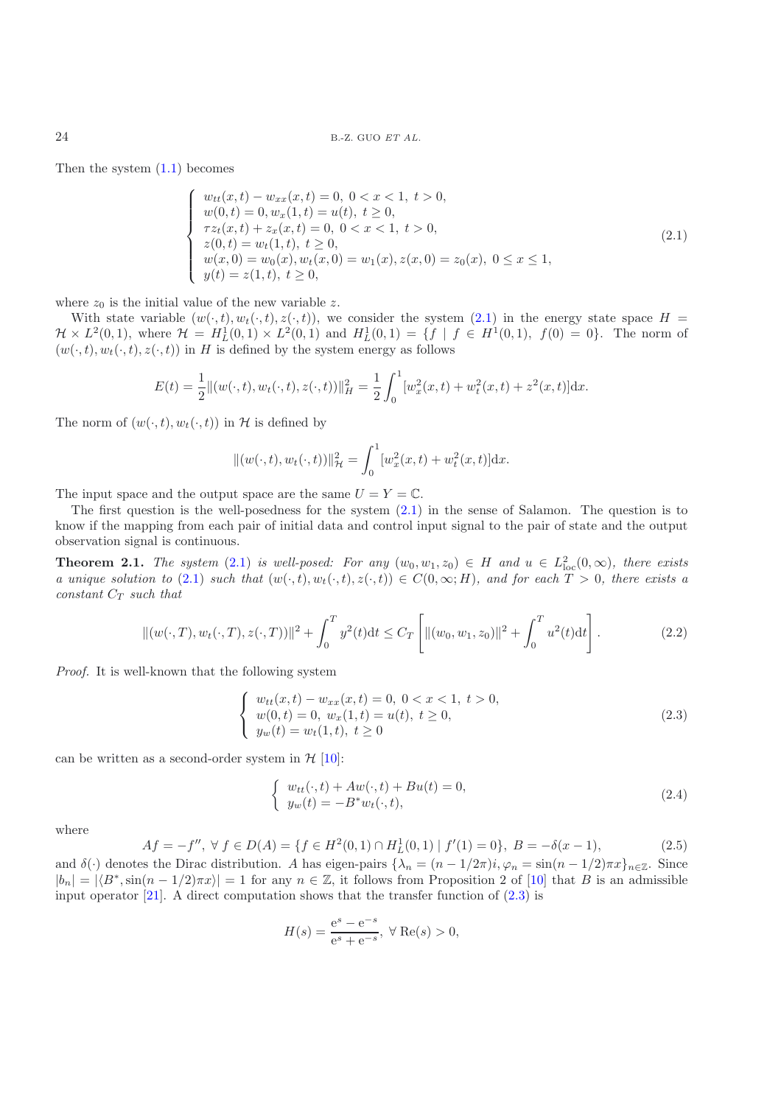<span id="page-2-0"></span>Then the system  $(1.1)$  becomes

$$
\begin{cases}\nw_{tt}(x,t) - w_{xx}(x,t) = 0, \ 0 < x < 1, \ t > 0, \\
w(0,t) = 0, w_x(1,t) = u(t), \ t \ge 0, \\
\tau z_t(x,t) + z_x(x,t) = 0, \ 0 < x < 1, \ t > 0, \\
z(0,t) = w_t(1,t), \ t \ge 0, \\
w(x,0) = w_0(x), w_t(x,0) = w_1(x), z(x,0) = z_0(x), \ 0 \le x \le 1, \\
y(t) = z(1,t), \ t \ge 0,\n\end{cases}\n\tag{2.1}
$$

where  $z_0$  is the initial value of the new variable z.

With state variable  $(w(\cdot,t), w_t(\cdot,t), z(\cdot,t))$ , we consider the system [\(2.1\)](#page-2-0) in the energy state space  $H =$  $\mathcal{H} \times L^2(0,1)$ , where  $\mathcal{H} = H_L^1(0,1) \times L^2(0,1)$  and  $H_L^1(0,1) = \{f \mid f \in H^1(0,1), f(0) = 0\}$ . The norm of  $(u_1, t)$   $u_2(t, t) \geq (t, t)$  in H is defined by the system energy as follows  $(w(\cdot, t), w_t(\cdot, t), z(\cdot, t))$  in H is defined by the system energy as follows

$$
E(t) = \frac{1}{2} ||(w(\cdot, t), w_t(\cdot, t), z(\cdot, t))||_H^2 = \frac{1}{2} \int_0^1 [w_x^2(x, t) + w_t^2(x, t) + z^2(x, t)] dx.
$$

The norm of  $(w(\cdot, t), w_t(\cdot, t))$  in H is defined by

$$
\|(w(\cdot,t),w_t(\cdot,t))\|_{\mathcal{H}}^2 = \int_0^1 [w_x^2(x,t) + w_t^2(x,t)]\mathrm{d}x.
$$

The input space and the output space are the same  $U = Y = \mathbb{C}$ .

The first question is the well-posedness for the system  $(2.1)$  in the sense of Salamon. The question is to know if the mapping from each pair of initial data and control input signal to the pair of state and the output observation signal is continuous.

<span id="page-2-3"></span>**Theorem 2.1.** *The system* [\(2.1\)](#page-2-0) *is well-posed: For any*  $(w_0, w_1, z_0) \in H$  *and*  $u \in L^2_{loc}(0, \infty)$ *, there exists* a unique solution to (2.1) such that  $(w_1, t)$   $w_1(t, t) \neq (t, t)$ )  $\in C(0, \infty; H)$  and for each  $T > 0$  ther *a* unique solution to [\(2.1\)](#page-2-0) such that  $(w(\cdot,t), w_t(\cdot,t), z(\cdot,t)) \in C(0,\infty;H)$ , and for each  $T > 0$ , there exists a<br>constant  $C_{\mathcal{F}}$  such that *constant*  $C_T$  *such that* 

<span id="page-2-1"></span>
$$
\|(w(\cdot,T),w_t(\cdot,T),z(\cdot,T))\|^2 + \int_0^T y^2(t)dt \le C_T \left[ \|(w_0,w_1,z_0)\|^2 + \int_0^T u^2(t)dt \right].
$$
 (2.2)

*Proof.* It is well-known that the following system

$$
\begin{cases}\nw_{tt}(x,t) - w_{xx}(x,t) = 0, \ 0 < x < 1, \ t > 0, \\
w(0,t) = 0, \ w_x(1,t) = u(t), \ t \ge 0, \\
y_w(t) = w_t(1,t), \ t \ge 0\n\end{cases} \tag{2.3}
$$

can be written as a second-order system in  $H$  [\[10\]](#page-13-16):

$$
\begin{cases}\nw_{tt}(\cdot, t) + Aw(\cdot, t) + Bu(t) = 0, \\
y_w(t) = -B^*w_t(\cdot, t),\n\end{cases}
$$
\n(2.4)

<span id="page-2-2"></span>where

<span id="page-2-4"></span>
$$
Af = -f'', \forall f \in D(A) = \{f \in H^2(0,1) \cap H^1_L(0,1) \mid f'(1) = 0\}, B = -\delta(x-1),\tag{2.5}
$$

and  $\delta(\cdot)$  denotes the Dirac distribution. A has eigen-pairs  $\{\lambda_n = (n-1/2\pi)i, \varphi_n = \sin((n-1/2)\pi x)\}_{n\in\mathbb{Z}}$ . Since  $|b_n| = |\langle B^*, \sin(n-1/2)\pi x \rangle| = 1$  for any  $n \in \mathbb{Z}$ , it follows from Proposition 2 of [\[10\]](#page-13-16) that B is an admissible input operator [21]. A direct computation shows that the transfer function of (2.3) is input operator  $[21]$ . A direct computation shows that the transfer function of  $(2.3)$  is

$$
H(s) = \frac{e^s - e^{-s}}{e^s + e^{-s}}, \ \forall \ \text{Re}(s) > 0,
$$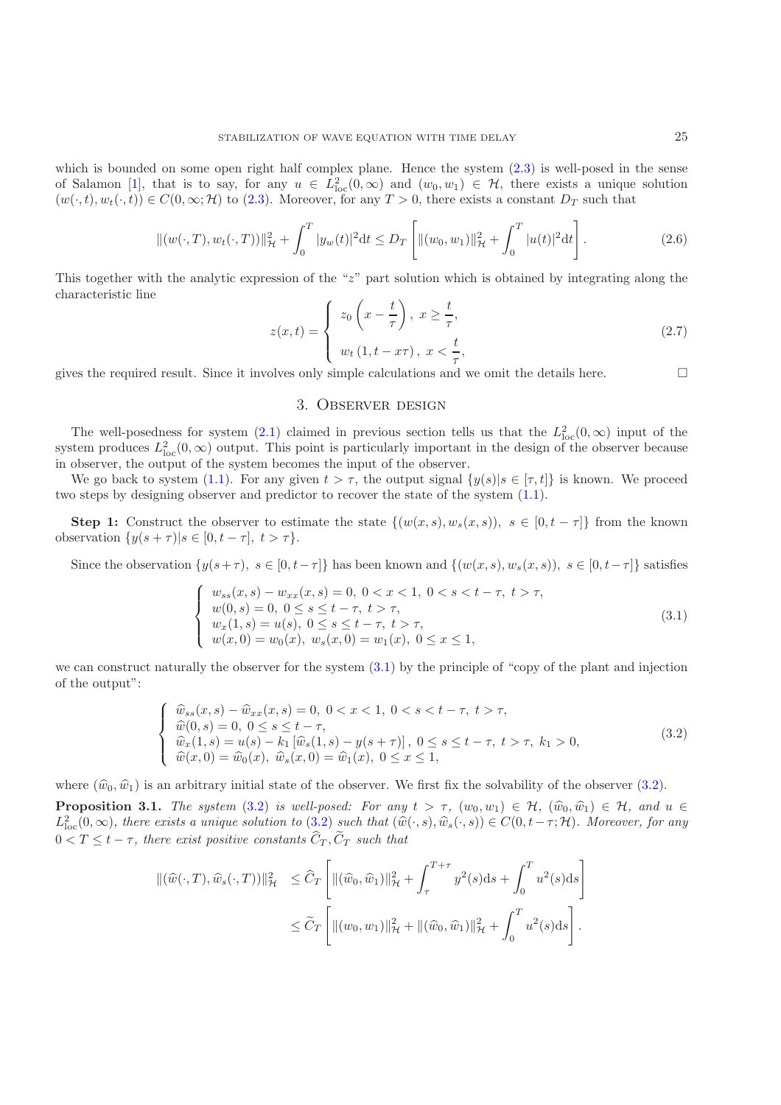which is bounded on some open right half complex plane. Hence the system  $(2.3)$  is well-posed in the sense of Salamon [\[1](#page-13-14)], that is to say, for any  $u \in L^2_{loc}(0,\infty)$  and  $(w_0, w_1) \in \mathcal{H}$ , there exists a unique solution  $(w_0, t)$   $w_0, t) \in C(0,\infty; \mathcal{H})$  to (2.3). Moreover for any  $T > 0$  there exists a constant  $D_{\mathcal{F}}$  such th  $(w(\cdot, t), w_t(\cdot, t)) \in C(0, \infty; \mathcal{H})$  to [\(2.3\)](#page-2-1). Moreover, for any  $T > 0$ , there exists a constant  $D_T$  such that

$$
\|(w(\cdot,T),w_t(\cdot,T))\|_{\mathcal{H}}^2 + \int_0^T |y_w(t)|^2 dt \le D_T \left[ \|(w_0,w_1)\|_{\mathcal{H}}^2 + \int_0^T |u(t)|^2 dt \right].
$$
\n(2.6)

<span id="page-3-2"></span>This together with the analytic expression of the "z" part solution which is obtained by integrating along the characteristic line

<span id="page-3-3"></span>
$$
z(x,t) = \begin{cases} z_0\left(x - \frac{t}{\tau}\right), \ x \ge \frac{t}{\tau}, \\ w_t\left(1, t - x\tau\right), \ x < \frac{t}{\tau}, \end{cases} \tag{2.7}
$$
   
olves only simple calculations and we omit the details here.

gives the required result. Since it involves only simple calculations and we omit the details here.  $\Box$ 

#### 3. Observer design

The well-posedness for system [\(2.1\)](#page-2-0) claimed in previous section tells us that the  $L_{\text{loc}}^2(0,\infty)$  input of the term produces  $L^2(0,\infty)$  output. This point is particularly important in the design of the observer because system produces  $L^2_{loc}(0,\infty)$  output. This point is particularly important in the design of the observer because<br>in observer, the output of the system becomes the input of the observer in observer, the output of the system becomes the input of the observer.

We go back to system [\(1.1\)](#page-1-0). For any given  $t>\tau$ , the output signal  $\{y(s)|s\in[\tau,t]\}$  is known. We proceed two steps by designing observer and predictor to recover the state of the system [\(1.1\)](#page-1-0).

**Step 1:** Construct the observer to estimate the state  $\{(w(x, s), w_s(x, s)), s \in [0, t - \tau]\}\$  from the known observation  $\{y(s+\tau)|s\in[0,t-\tau],\ t>\tau\}.$ 

<span id="page-3-0"></span>Since the observation  $\{y(s+\tau), s \in [0, t-\tau]\}$  has been known and  $\{(w(x, s), w_s(x, s)), s \in [0, t-\tau]\}$  satisfies

$$
\begin{cases}\nw_{ss}(x,s) - w_{xx}(x,s) = 0, \ 0 < x < 1, \ 0 < s < t - \tau, \ t > \tau, \\
w(0,s) = 0, \ 0 < s < t - \tau, \ t > \tau, \\
w_x(1,s) = u(s), \ 0 < s < t - \tau, \ t > \tau, \\
w(x,0) = w_0(x), \ w_s(x,0) = w_1(x), \ 0 < x \le 1,\n\end{cases}\n\tag{3.1}
$$

we can construct naturally the observer for the system [\(3.1\)](#page-3-0) by the principle of "copy of the plant and injection of the output":

$$
\begin{cases}\n\widehat{w}_{ss}(x,s) - \widehat{w}_{xx}(x,s) = 0, \ 0 < x < 1, \ 0 < s < t - \tau, \ t > \tau, \\
\widehat{w}(0,s) = 0, \ 0 < s \leq t - \tau, \\
\widehat{w}_x(1,s) = u(s) - k_1 \left[ \widehat{w}_s(1,s) - y(s + \tau) \right], \ 0 < s \leq t - \tau, \ t > \tau, \ k_1 > 0, \\
\widehat{w}(x,0) = \widehat{w}_0(x), \ \widehat{w}_s(x,0) = \widehat{w}_1(x), \ 0 < x \leq 1,\n\end{cases} \tag{3.2}
$$

<span id="page-3-4"></span><span id="page-3-1"></span>where  $(\widehat{w}_0, \widehat{w}_1)$  is an arbitrary initial state of the observer. We first fix the solvability of the observer [\(3.2\)](#page-3-1).

**Proposition 3.1.** *The system* [\(3.2\)](#page-3-1) *is well-posed: For any*  $t > \tau$ ,  $(w_0, w_1) \in \mathcal{H}$ ,  $(\widehat{w}_0, \widehat{w}_1) \in \mathcal{H}$ , and  $u \in$  $L^2_{\text{loc}}(0,\infty)$ , there exists a unique solution to [\(3.2\)](#page-3-1) such that  $(\widehat{w}(\cdot,s), \widehat{w}_s(\cdot,s)) \in C(0,t-\tau;\mathcal{H})$ . Moreover, for any  $0 < T \leq t - \tau$ , there exist positive constants  $\widehat{C}_T, \widetilde{C}_T$  such that

$$
\begin{split} \left\|(\widehat{w}(\cdot,T),\widehat{w}_s(\cdot,T))\right\|_{\mathcal{H}}^2 &\leq \widehat{C}_T \left[\left\|(\widehat{w}_0,\widehat{w}_1)\right\|_{\mathcal{H}}^2 + \int_{\tau}^{T+\tau} y^2(s)ds + \int_0^T u^2(s)ds\right] \\ &\leq \widetilde{C}_T \left[\left\|(\overline{w}_0,w_1)\right\|_{\mathcal{H}}^2 + \left\|(\widehat{w}_0,\widehat{w}_1)\right\|_{\mathcal{H}}^2 + \int_0^T u^2(s)ds\right]. \end{split}
$$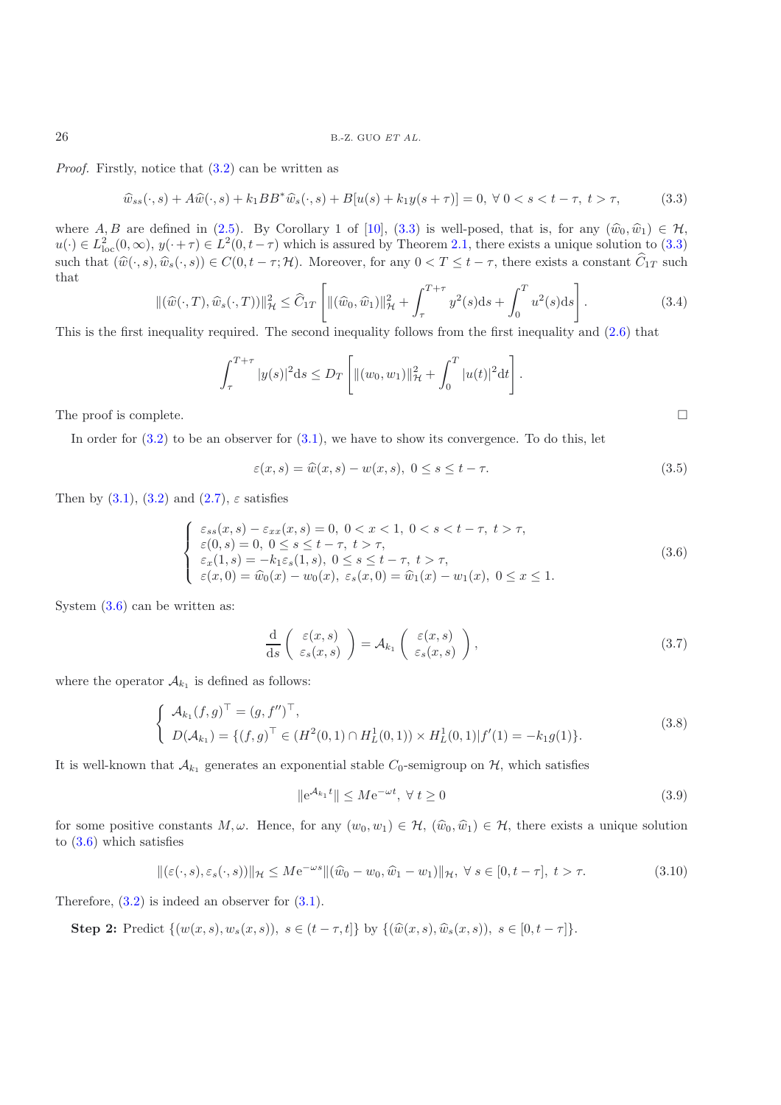<span id="page-4-0"></span>*Proof.* Firstly, notice that  $(3.2)$  can be written as

$$
\widehat{w}_{ss}(\cdot, s) + A\widehat{w}(\cdot, s) + k_1 BB^* \widehat{w}_s(\cdot, s) + B[u(s) + k_1 y(s + \tau)] = 0, \ \forall \ 0 < s < t - \tau, \ t > \tau,\tag{3.3}
$$

where  $A, B$  are defined in [\(2.5\)](#page-2-2). By Corollary 1 of [\[10\]](#page-13-16), [\(3.3\)](#page-4-0) is well-posed, that is, for any  $(\widehat{w}_0, \widehat{w}_1) \in \mathcal{H}$ ,<br> $u(x) \in L^2((0, \infty), u(x+\tau) \in L^2((0, t-\tau))$  which is assumed by Theorem 2.1, there exists a unique solutio  $u(\cdot) \in L^2_{loc}(0,\infty), y(\cdot+\tau) \in L^2(0,t-\tau)$  which is assured by Theorem [2.1,](#page-2-3) there exists a unique solution to [\(3.3\)](#page-4-0) such that  $(\widehat{w}(\cdot, s), \widehat{w}_s(\cdot, s)) \in C(0, t - \tau; \mathcal{H})$ . Moreover, for any  $0 < T \leq t - \tau$ , there exists a constant  $\widehat{C}_{1T}$  such that

$$
\|(\widehat{w}(\cdot,T),\widehat{w}_s(\cdot,T))\|_{\mathcal{H}}^2 \le \widehat{C}_{1T} \left[ \|(\widehat{w}_0,\widehat{w}_1)\|_{\mathcal{H}}^2 + \int_{\tau}^{T+\tau} y^2(s)ds + \int_0^T u^2(s)ds \right].
$$
\n(3.4)

This is the first inequality required. The second inequality follows from the first inequality and [\(2.6\)](#page-3-2) that

$$
\int_{\tau}^{T+\tau} |y(s)|^2 ds \le D_T \left[ ||(w_0, w_1)||_{\mathcal{H}}^2 + \int_0^T |u(t)|^2 dt \right].
$$

The proof is complete.

In order for  $(3.2)$  to be an observer for  $(3.1)$ , we have to show its convergence. To do this, let

$$
\varepsilon(x,s) = \widehat{w}(x,s) - w(x,s), \ 0 \le s \le t - \tau. \tag{3.5}
$$

 $\Box$ 

<span id="page-4-1"></span>Then by  $(3.1)$ ,  $(3.2)$  and  $(2.7)$ ,  $\varepsilon$  satisfies

<span id="page-4-3"></span>
$$
\begin{cases}\n\varepsilon_{ss}(x,s) - \varepsilon_{xx}(x,s) = 0, \ 0 < x < 1, \ 0 < s < t - \tau, \ t > \tau, \\
\varepsilon(0,s) = 0, \ 0 < s \le t - \tau, \ t > \tau, \\
\varepsilon_x(1,s) = -k_1 \varepsilon_s(1,s), \ 0 < s \le t - \tau, \ t > \tau, \\
\varepsilon(x,0) = \widehat{w}_0(x) - w_0(x), \ \varepsilon_s(x,0) = \widehat{w}_1(x) - w_1(x), \ 0 < x \le 1.\n\end{cases}
$$
\n(3.6)

System  $(3.6)$  can be written as:

$$
\frac{\mathrm{d}}{\mathrm{d}s} \left( \begin{array}{c} \varepsilon(x,s) \\ \varepsilon_s(x,s) \end{array} \right) = \mathcal{A}_{k_1} \left( \begin{array}{c} \varepsilon(x,s) \\ \varepsilon_s(x,s) \end{array} \right),\tag{3.7}
$$

where the operator  $A_{k_1}$  is defined as follows:

$$
\begin{cases}\n\mathcal{A}_{k_1}(f,g)^\top = (g, f'')^\top, \\
D(\mathcal{A}_{k_1}) = \{(f,g)^\top \in (H^2(0,1) \cap H^1_L(0,1)) \times H^1_L(0,1)|f'(1) = -k_1 g(1)\}.\n\end{cases}
$$
\n(3.8)

<span id="page-4-4"></span>It is well-known that  $\mathcal{A}_{k_1}$  generates an exponential stable  $C_0$ -semigroup on  $\mathcal{H}$ , which satisfies

$$
\|\mathbf{e}^{\mathcal{A}_{k_1}t}\| \le M \mathbf{e}^{-\omega t}, \ \forall \ t \ge 0 \tag{3.9}
$$

for some positive constants  $M, \omega$ . Hence, for any  $(w_0, w_1) \in \mathcal{H}$ ,  $(\widehat{w}_0, \widehat{w}_1) \in \mathcal{H}$ , there exists a unique solution to [\(3.6\)](#page-4-1) which satisfies

<span id="page-4-5"></span>
$$
\|(\varepsilon(\cdot,s),\varepsilon_s(\cdot,s))\|_{\mathcal{H}} \leq M e^{-\omega s} \|(\widehat{w}_0 - w_0, \widehat{w}_1 - w_1)\|_{\mathcal{H}}, \ \forall \ s \in [0, t - \tau], \ t > \tau.
$$

<span id="page-4-2"></span>Therefore,  $(3.2)$  is indeed an observer for  $(3.1)$ .

**Step 2:** Predict  $\{(w(x, s), w_s(x, s)), s \in (t - \tau, t]\}$  by  $\{(\hat{w}(x, s), \hat{w}_s(x, s)), s \in [0, t - \tau]\}.$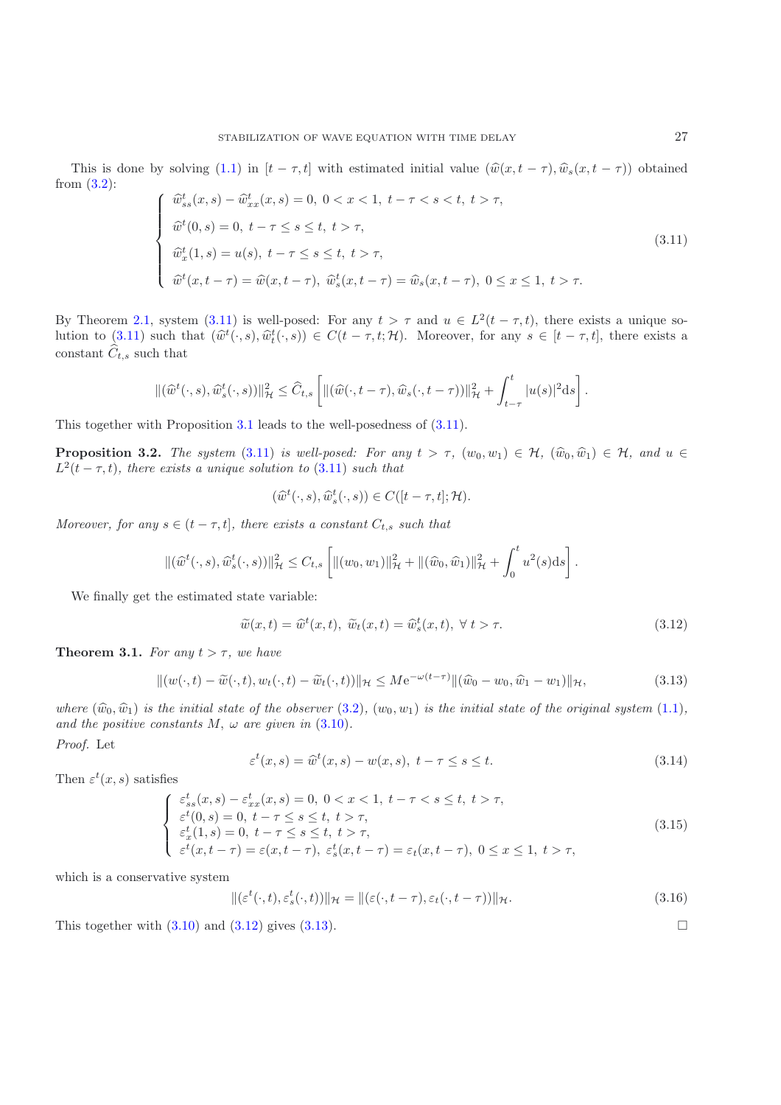<span id="page-5-0"></span>This is done by solving [\(1.1\)](#page-1-0) in  $[t - \tau, t]$  with estimated initial value  $(\hat{w}(x, t - \tau), \hat{w}_s(x, t - \tau))$  obtained from [\(3.2\)](#page-3-1):

$$
\begin{cases}\n\widehat{w}_{ss}^{t}(x,s) - \widehat{w}_{xx}^{t}(x,s) = 0, \ 0 < x < 1, \ t - \tau < s < t, \ t > \tau, \\
\widehat{w}^{t}(0,s) = 0, \ t - \tau \le s \le t, \ t > \tau, \\
\widehat{w}_{x}^{t}(1,s) = u(s), \ t - \tau \le s \le t, \ t > \tau, \\
\widehat{w}^{t}(x,t-\tau) = \widehat{w}(x,t-\tau), \ \widehat{w}_{s}^{t}(x,t-\tau) = \widehat{w}_{s}(x,t-\tau), \ 0 \le x \le 1, \ t > \tau.\n\end{cases}
$$
\n(3.11)

By Theorem [2.1,](#page-2-3) system [\(3.11\)](#page-5-0) is well-posed: For any  $t > \tau$  and  $u \in L^2(t - \tau, t)$ , there exists a unique so-lution to [\(3.11\)](#page-5-0) such that  $(\hat{w}^t(\cdot,s), \hat{w}_t^t(\cdot,s)) \in C(t-\tau,t;\mathcal{H})$ . Moreover, for any  $s \in [t-\tau,t]$ , there exists a constant  $\hat{G}$  and that constant  $\hat{C}_{t,s}$  such that

$$
\|(\widehat{w}^t(\cdot,s),\widehat{w}^t_s(\cdot,s))\|_{\mathcal{H}}^2 \leq \widehat{C}_{t,s}\left[\|(\widehat{w}(\cdot,t-\tau),\widehat{w}_s(\cdot,t-\tau))\|_{\mathcal{H}}^2 + \int_{t-\tau}^t |u(s)|^2 \mathrm{d}s\right].
$$

This together with Proposition [3.1](#page-3-4) leads to the well-posedness of [\(3.11\)](#page-5-0).

**Proposition 3.2.** *The system* [\(3.11\)](#page-5-0) *is well-posed: For any*  $t > \tau$ ,  $(w_0, w_1) \in H$ ,  $(\hat{w}_0, \hat{w}_1) \in H$ , and  $u \in$  $L^2(t - \tau, t)$ *, there exists a unique solution to* [\(3.11\)](#page-5-0) *such that* 

$$
(\widehat{w}^t(\cdot,s),\widehat{w}^t_s(\cdot,s)) \in C([t-\tau,t];\mathcal{H}).
$$

*Moreover, for any*  $s \in (t - \tau, t]$ *, there exists a constant*  $C_{t,s}$  *such that* 

$$
\|(\widehat{w}^t(\cdot,s),\widehat{w}^t_s(\cdot,s))\|_{\mathcal{H}}^2 \leq C_{t,s} \left[ \|(w_0,w_1)\|_{\mathcal{H}}^2 + \|(\widehat{w}_0,\widehat{w}_1)\|_{\mathcal{H}}^2 + \int_0^t u^2(s)ds \right].
$$

We finally get the estimated state variable:

$$
\widetilde{w}(x,t) = \widehat{w}^t(x,t), \ \widetilde{w}_t(x,t) = \widehat{w}_s^t(x,t), \ \forall \ t > \tau.
$$
\n(3.12)

<span id="page-5-3"></span>**Theorem 3.1.** *For any*  $t > \tau$ *, we have* 

<span id="page-5-1"></span>
$$
\|(w(\cdot,t)-\widetilde{w}(\cdot,t),w_t(\cdot,t)-\widetilde{w}_t(\cdot,t))\|_{\mathcal{H}} \leq M e^{-\omega(t-\tau)} \|(\widehat{w}_0-w_0,\widehat{w}_1-w_1)\|_{\mathcal{H}},\tag{3.13}
$$

<span id="page-5-2"></span>where  $(\widehat{w}_0, \widehat{w}_1)$  *is the initial state of the observer* [\(3.2\)](#page-3-1),  $(w_0, w_1)$  *is the initial state of the original system* [\(1.1\)](#page-1-0)*, and the positive constants*  $M$ ,  $\omega$  *are given in* [\(3.10\)](#page-4-2).

*Proof.* Let

$$
\varepsilon^t(x,s) = \widehat{w}^t(x,s) - w(x,s), \ t - \tau \le s \le t. \tag{3.14}
$$

Then  $\varepsilon^t(x, s)$  satisfies

<span id="page-5-4"></span>
$$
\begin{cases}\n\varepsilon_{ss}^t(x,s) - \varepsilon_{xx}^t(x,s) = 0, \ 0 < x < 1, \ t - \tau < s \le t, \ t > \tau, \\
\varepsilon^t(0,s) = 0, \ t - \tau < s \le t, \ t > \tau, \\
\varepsilon_x^t(1,s) = 0, \ t - \tau < s \le t, \ t > \tau, \\
\varepsilon^t(x,t-\tau) = \varepsilon(x,t-\tau), \ \varepsilon_s^t(x,t-\tau) = \varepsilon_t(x,t-\tau), \ 0 < x \le 1, \ t > \tau,\n\end{cases}
$$
\n(3.15)

which is a conservative system

$$
\|(\varepsilon^t(\cdot,t),\varepsilon^t_s(\cdot,t))\|_{\mathcal{H}} = \|(\varepsilon(\cdot,t-\tau),\varepsilon_t(\cdot,t-\tau))\|_{\mathcal{H}}.
$$
\n(3.16)

This together with  $(3.10)$  and  $(3.12)$  gives  $(3.13)$ .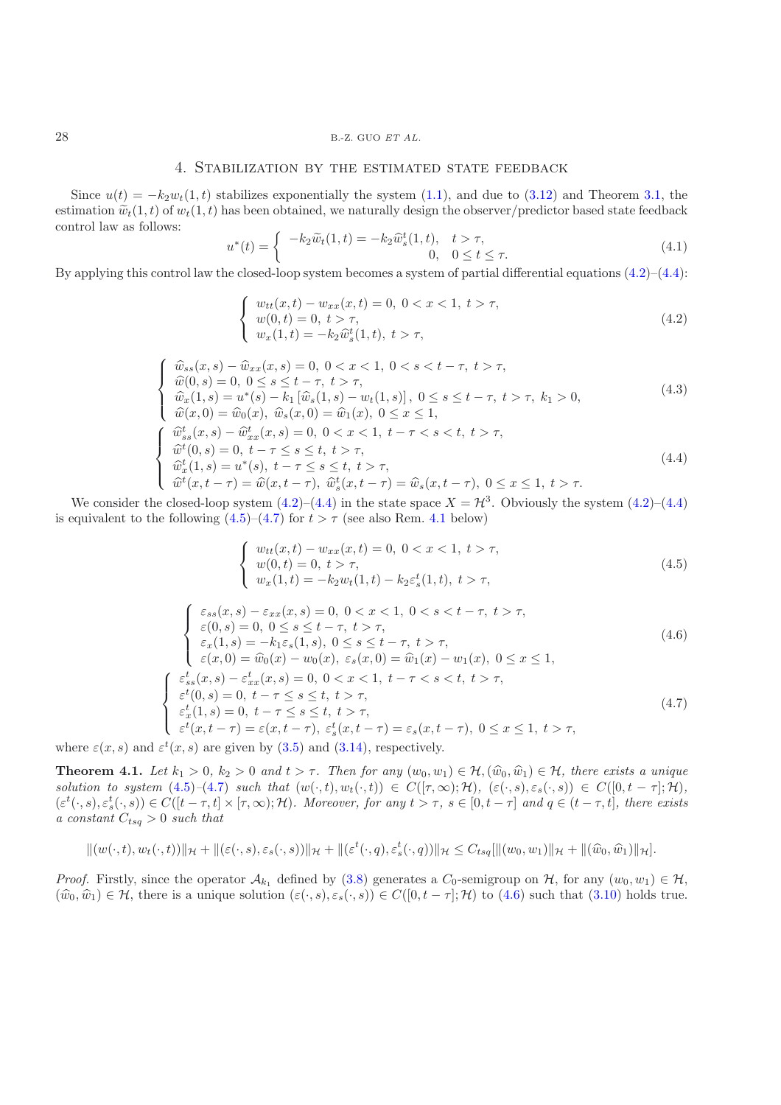#### 28 B.-Z. GUO *ET AL.*

#### 4. Stabilization by the estimated state feedback

Since  $u(t) = -k_2 w_t(1, t)$  stabilizes exponentially the system [\(1.1\)](#page-1-0), and due to [\(3.12\)](#page-5-1) and Theorem [3.1,](#page-5-3) the estimation  $\tilde{w}_t(1,t)$  of  $w_t(1,t)$  has been obtained, we naturally design the observer/predictor based state feedback control law as follows:

<span id="page-6-5"></span>By applying this control law the closed-loop system becomes a system of partial differential equations (4.2)–(4.4):  

$$
u^*(t) = \begin{cases} -k_2 \widetilde{w}_t(1,t) = -k_2 \widehat{w}_s^t(1,t), & t > \tau, \\ 0, & 0 \le t \le \tau. \end{cases}
$$
(4.1)

$$
\begin{cases}\nw_{tt}(x,t) - w_{xx}(x,t) = 0, \ 0 < x < 1, \ t > \tau, \\
w(0,t) = 0, \ t > \tau, \\
w_x(1,t) = -k_2 \hat{w}_s^t(1,t), \ t > \tau,\n\end{cases} \tag{4.2}
$$

<span id="page-6-0"></span>
$$
\begin{cases}\n\widehat{w}_{ss}(x,s) - \widehat{w}_{xx}(x,s) = 0, \ 0 < x < 1, \ 0 < s < t - \tau, \ t > \tau, \\
\widehat{w}(0,s) = 0, \ 0 < s < t - \tau, \ t > \tau, \\
\widehat{w}_x(1,s) = u^*(s) - k_1 \left[ \widehat{w}_s(1,s) - w_t(1,s) \right], \ 0 < s < t - \tau, \ t > \tau, \ k_1 > 0, \\
\widehat{w}(x,0) = \widehat{w}_0(x), \ \widehat{w}_s(x,0) = \widehat{w}_1(x), \ 0 < x < 1, \\
\widehat{w}_{ss}^t(x,s) - \widehat{w}_{xx}^t(x,s) = 0, \ 0 < x < 1, \ t - \tau < s < t, \ t > \tau, \\
\widehat{w}_x^t(0,s) = 0, \ t - \tau < s < t, \ t > \tau, \\
\widehat{w}_x^t(1,s) = u^*(s), \ t - \tau < s < t, \ t > \tau,\n\end{cases}
$$
\n
$$
\begin{cases}\n(4.4) \\
\widehat{w}_t^t(x,t-\tau) = \widehat{w}(x,t-\tau), \ \widehat{w}_s^t(x,t-\tau) = \widehat{w}_s(x,t-\tau), \ 0 < x \le 1, \ t > \tau.\n\end{cases}
$$

<span id="page-6-1"></span>We consider the closed-loop system  $(4.2)$ – $(4.4)$  in the state space  $X = H^3$ . Obviously the system  $(4.2)$ – $(4.4)$ is equivalent to the following  $(4.5)$ – $(4.7)$  for  $t > \tau$  (see also Rem. [4.1](#page-8-0) below)

$$
\begin{cases}\nw_{tt}(x,t) - w_{xx}(x,t) = 0, \ 0 < x < 1, \ t > \tau, \\
w(0,t) = 0, \ t > \tau, \\
w_x(1,t) = -k_2 w_t(1,t) - k_2 \varepsilon_s^t(1,t), \ t > \tau,\n\end{cases} \tag{4.5}
$$

<span id="page-6-4"></span><span id="page-6-2"></span>
$$
\begin{cases}\n\varepsilon_{ss}(x,s) - \varepsilon_{xx}(x,s) = 0, \ 0 < x < 1, \ 0 < s < t - \tau, \ t > \tau, \\
\varepsilon(0,s) = 0, \ 0 < s \le t - \tau, \ t > \tau, \\
\varepsilon_x(1,s) = -k_1 \varepsilon_s(1,s), \ 0 < s \le t - \tau, \ t > \tau, \\
\varepsilon(x,0) = \hat{w}_0(x) - w_0(x), \ \varepsilon_s(x,0) = \hat{w}_1(x) - w_1(x), \ 0 < x \le 1, \\
\varepsilon_{ss}^t(x,s) - \varepsilon_{xx}^t(x,s) = 0, \ 0 < x < 1, \ t - \tau < s < t, \ t > \tau, \\
\varepsilon_x^t(1,s) = 0, \ t - \tau < s \le t, \ t > \tau, \\
\varepsilon_x^t(x,t-\tau) = \varepsilon(x,t-\tau), \ \varepsilon_s^t(x,t-\tau) = \varepsilon_s(x,t-\tau), \ 0 < x \le 1, \ t > \tau,\n\end{cases} \tag{4.7}
$$

<span id="page-6-6"></span><span id="page-6-3"></span>where  $\varepsilon(x, s)$  and  $\varepsilon^t(x, s)$  are given by [\(3.5\)](#page-4-3) and [\(3.14\)](#page-5-4), respectively.

**Theorem 4.1.** *Let*  $k_1 > 0$ ,  $k_2 > 0$  *and*  $t > \tau$ . Then for any  $(w_0, w_1) \in \mathcal{H}$ ,  $(\widehat{w}_0, \widehat{w}_1) \in \mathcal{H}$ , there exists a unique *solution to system*  $(4.5)-(4.7)$  $(4.5)-(4.7)$  $(4.5)-(4.7)$  *such that*  $(w(\cdot,t), w_t(\cdot,t)) \in C([\tau,\infty); \mathcal{H}), (\varepsilon(\cdot,s), \varepsilon_s(\cdot,s)) \in C([0,t-\tau]; \mathcal{H}),$  $(\varepsilon^t(\cdot, s), \varepsilon^t_s(\cdot, s)) \in C([t - \tau, t] \times [\tau, \infty); \mathcal{H})$ *. Moreover, for any*  $t > \tau$ ,  $s \in [0, t - \tau]$  *and*  $q \in (t - \tau, t]$ *, there exists*<br>a constant  $C_{\tau} > 0$  such that *a constant*  $C_{tsq} > 0$  *such that* 

$$
||(w(\cdot,t),w_t(\cdot,t))||_{\mathcal{H}}+||(\varepsilon(\cdot,s),\varepsilon_s(\cdot,s))||_{\mathcal{H}}+||(\varepsilon^t(\cdot,q),\varepsilon^t_s(\cdot,q))||_{\mathcal{H}} \leq C_{tsq}[||(w_0,w_1)||_{\mathcal{H}}+||(\widehat{w}_0,\widehat{w}_1)||_{\mathcal{H}}].
$$

*Proof.* Firstly, since the operator  $\mathcal{A}_{k_1}$  defined by [\(3.8\)](#page-4-4) generates a  $C_0$ -semigroup on  $\mathcal{H}$ , for any  $(w_0, w_1) \in \mathcal{H}$ ,  $(\widehat{w}_0, \widehat{w}_1) \in \mathcal{H}$ , there is a unique solution  $(\varepsilon(\cdot, s), \varepsilon_s(\cdot, s)) \in C([0, t - \tau]; \mathcal{H})$  to  $(4.6)$  such that  $(3.10)$  holds true.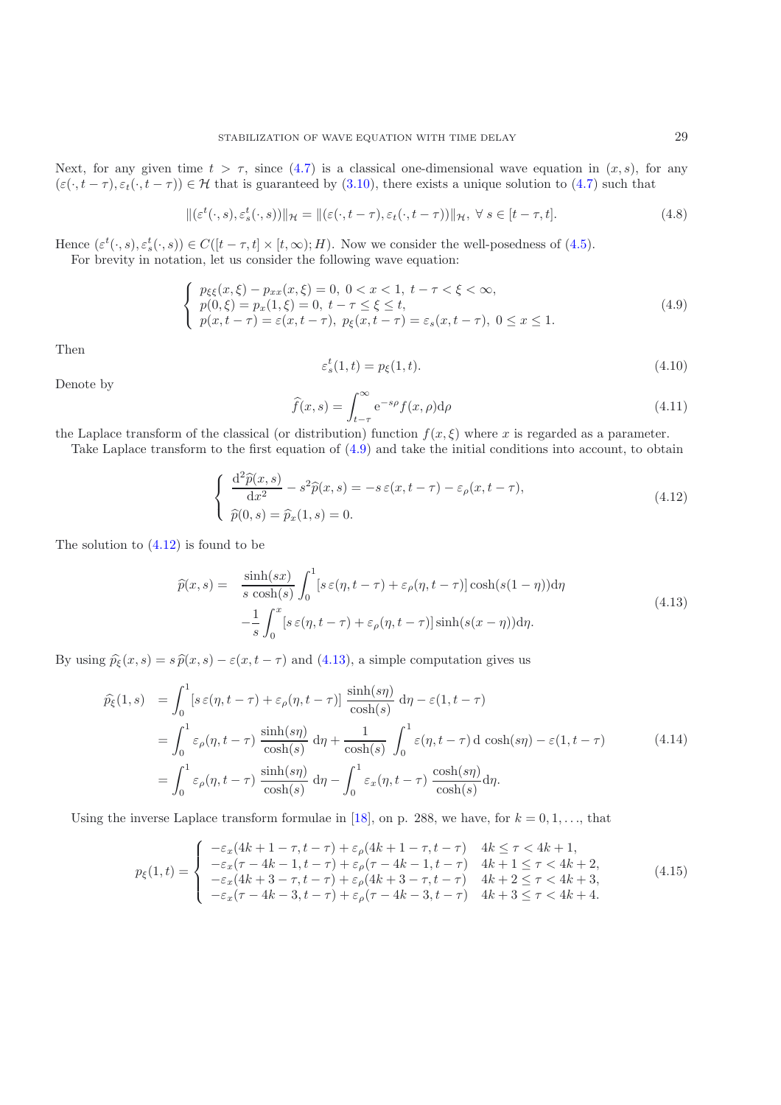Next, for any given time  $t > \tau$ , since [\(4.7\)](#page-6-3) is a classical one-dimensional wave equation in  $(x, s)$ , for any  $(\varepsilon(\cdot, t-\tau), \varepsilon_t(\cdot, t-\tau)) \in \mathcal{H}$  that is guaranteed by [\(3.10\)](#page-4-2), there exists a unique solution to [\(4.7\)](#page-6-3) such that

$$
\|(\varepsilon^t(\cdot,s),\varepsilon^t_s(\cdot,s))\|_{\mathcal{H}} = \|(\varepsilon(\cdot,t-\tau),\varepsilon_t(\cdot,t-\tau))\|_{\mathcal{H}}, \ \forall \ s \in [t-\tau,t]. \tag{4.8}
$$

<span id="page-7-5"></span>Hence  $(\varepsilon^t(\cdot, s), \varepsilon_s^t(\cdot, s)) \in C([t - \tau, t] \times [t, \infty); H)$ . Now we consider the well-posedness of [\(4.5\)](#page-6-2).<br>For brevity in notation, let us consider the following wave equation:

<span id="page-7-0"></span>For brevity in notation, let us consider the following wave equation:

$$
\begin{cases}\n p_{\xi\xi}(x,\xi) - p_{xx}(x,\xi) = 0, \ 0 < x < 1, \ t - \tau < \xi < \infty, \\
 p(0,\xi) = p_x(1,\xi) = 0, \ t - \tau < \xi \le t, \\
 p(x,t-\tau) = \varepsilon(x,t-\tau), \ p_{\xi}(x,t-\tau) = \varepsilon_s(x,t-\tau), \ 0 < x \le 1.\n\end{cases}\n\tag{4.9}
$$

Then

$$
\varepsilon_s^t(1,t) = p_\xi(1,t). \tag{4.10}
$$

Denote by

<span id="page-7-3"></span>
$$
\widehat{f}(x,s) = \int_{t-\tau}^{\infty} e^{-s\rho} f(x,\rho) d\rho
$$
\n(4.11)

the Laplace transform of the classical (or distribution) function  $f(x, \xi)$  where x is regarded as a parameter.

<span id="page-7-1"></span>Take Laplace transform to the first equation of [\(4.9\)](#page-7-0) and take the initial conditions into account, to obtain

$$
\begin{cases}\n\frac{\mathrm{d}^2 \hat{p}(x,s)}{\mathrm{d}x^2} - s^2 \hat{p}(x,s) = -s \,\varepsilon(x,t-\tau) - \varepsilon_\rho(x,t-\tau), \\
\hat{p}(0,s) = \hat{p}_x(1,s) = 0.\n\end{cases} \tag{4.12}
$$

<span id="page-7-2"></span>The solution to  $(4.12)$  is found to be

$$
\widehat{p}(x,s) = \frac{\sinh(sx)}{s \cosh(s)} \int_0^1 [s \,\varepsilon(\eta, t-\tau) + \varepsilon_\rho(\eta, t-\tau)] \cosh(s(1-\eta)) \mathrm{d}\eta \n- \frac{1}{s} \int_0^x [s \,\varepsilon(\eta, t-\tau) + \varepsilon_\rho(\eta, t-\tau)] \sinh(s(x-\eta)) \mathrm{d}\eta.
$$
\n(4.13)

By using  $\hat{p}_{\xi}(x, s) = s \hat{p}(x, s) - \varepsilon(x, t - \tau)$  and [\(4.13\)](#page-7-2), a simple computation gives us

$$
\hat{p}_{\xi}(1,s) = \int_0^1 [s \,\varepsilon(\eta, t-\tau) + \varepsilon_{\rho}(\eta, t-\tau)] \frac{\sinh(s\eta)}{\cosh(s)} d\eta - \varepsilon(1, t-\tau) \n= \int_0^1 \varepsilon_{\rho}(\eta, t-\tau) \frac{\sinh(s\eta)}{\cosh(s)} d\eta + \frac{1}{\cosh(s)} \int_0^1 \varepsilon(\eta, t-\tau) d\cosh(s\eta) - \varepsilon(1, t-\tau) \n= \int_0^1 \varepsilon_{\rho}(\eta, t-\tau) \frac{\sinh(s\eta)}{\cosh(s)} d\eta - \int_0^1 \varepsilon_x(\eta, t-\tau) \frac{\cosh(s\eta)}{\cosh(s)} d\eta.
$$
\n(4.14)

<span id="page-7-4"></span>Using the inverse Laplace transform formulae in [\[18](#page-13-18)], on p. 288, we have, for  $k = 0, 1, \ldots$ , that

$$
p_{\xi}(1,t) = \begin{cases}\n-\varepsilon_x(4k+1-\tau, t-\tau) + \varepsilon_{\rho}(4k+1-\tau, t-\tau) & 4k \leq \tau < 4k+1, \\
-\varepsilon_x(\tau - 4k - 1, t-\tau) + \varepsilon_{\rho}(\tau - 4k - 1, t-\tau) & 4k+1 \leq \tau < 4k+2, \\
-\varepsilon_x(4k+3-\tau, t-\tau) + \varepsilon_{\rho}(4k+3-\tau, t-\tau) & 4k+2 \leq \tau < 4k+3, \\
-\varepsilon_x(\tau - 4k - 3, t-\tau) + \varepsilon_{\rho}(\tau - 4k - 3, t-\tau) & 4k+3 \leq \tau < 4k+4.\n\end{cases}
$$
\n(4.15)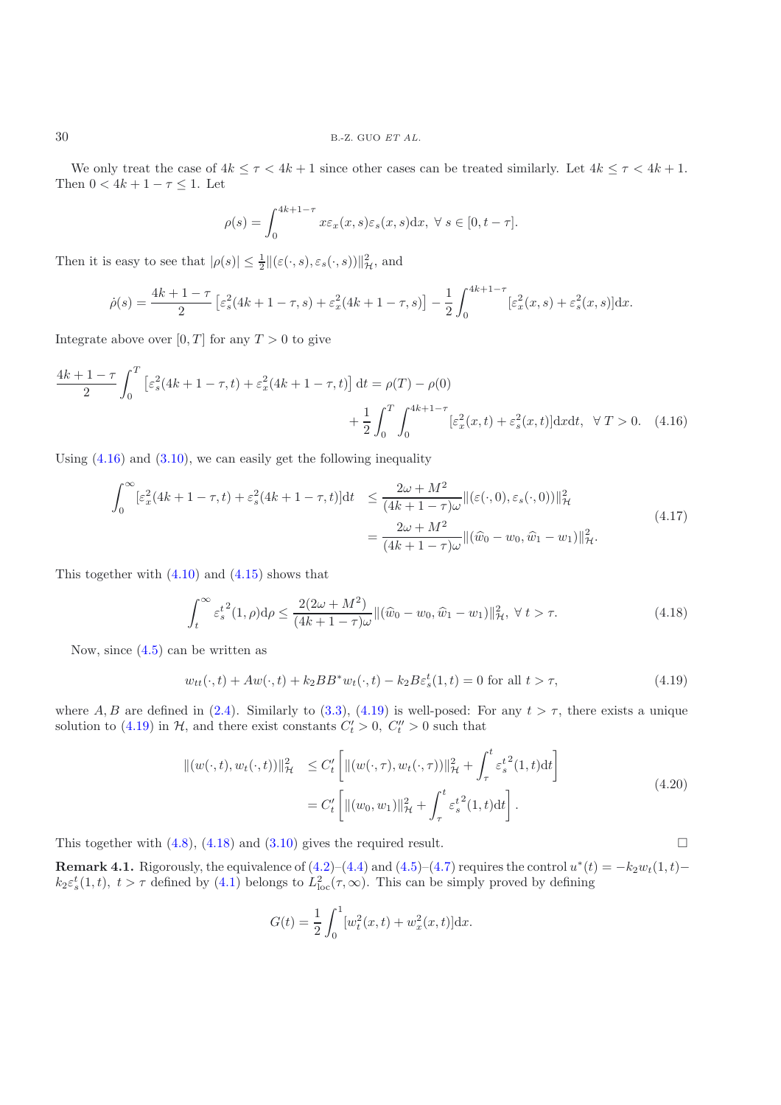We only treat the case of  $4k \leq \tau < 4k+1$  since other cases can be treated similarly. Let  $4k \leq \tau < 4k+1$ . Then  $0 < 4k + 1 - \tau \leq 1$ . Let

<span id="page-8-1"></span>
$$
\rho(s) = \int_0^{4k+1-\tau} x \varepsilon_x(x,s) \varepsilon_s(x,s) \mathrm{d}x, \ \forall \ s \in [0, t-\tau].
$$

Then it is easy to see that  $|\rho(s)| \leq \frac{1}{2} ||(\varepsilon(\cdot, s), \varepsilon_s(\cdot, s))||^2_{\mathcal{H}}$ , and

$$
\dot{\rho}(s) = \frac{4k+1-\tau}{2} \left[ \varepsilon_s^2 (4k+1-\tau,s) + \varepsilon_x^2 (4k+1-\tau,s) \right] - \frac{1}{2} \int_0^{4k+1-\tau} \left[ \varepsilon_x^2 (x,s) + \varepsilon_s^2 (x,s) \right] dx.
$$

Integrate above over  $[0, T]$  for any  $T > 0$  to give

$$
\frac{4k+1-\tau}{2} \int_0^T \left[ \varepsilon_s^2 (4k+1-\tau,t) + \varepsilon_x^2 (4k+1-\tau,t) \right] dt = \rho(T) - \rho(0) \n+ \frac{1}{2} \int_0^T \int_0^{4k+1-\tau} \left[ \varepsilon_x^2 (x,t) + \varepsilon_s^2 (x,t) \right] dx dt, \quad \forall T > 0. \quad (4.16)
$$

Using  $(4.16)$  and  $(3.10)$ , we can easily get the following inequality

$$
\int_0^{\infty} \left[\varepsilon_x^2 (4k+1-\tau,t) + \varepsilon_s^2 (4k+1-\tau,t)\right] dt \le \frac{2\omega + M^2}{(4k+1-\tau)\omega} \|(\varepsilon(\cdot,0),\varepsilon_s(\cdot,0))\|_{\mathcal{H}}^2
$$
  
= 
$$
\frac{2\omega + M^2}{(4k+1-\tau)\omega} \|(\hat{w}_0 - w_0, \hat{w}_1 - w_1)\|_{\mathcal{H}}^2.
$$
 (4.17)

This together with  $(4.10)$  and  $(4.15)$  shows that

$$
\int_{t}^{\infty} \varepsilon_{s}^{t^{2}}(1,\rho) d\rho \le \frac{2(2\omega + M^{2})}{(4k + 1 - \tau)\omega} \|(\hat{w}_{0} - w_{0}, \hat{w}_{1} - w_{1})\|_{\mathcal{H}}^{2}, \ \forall \ t > \tau.
$$
\n(4.18)

<span id="page-8-3"></span><span id="page-8-2"></span>Now, since [\(4.5\)](#page-6-2) can be written as

$$
w_{tt}(\cdot, t) + Aw(\cdot, t) + k_2 BB^* w_t(\cdot, t) - k_2 B \varepsilon_s^t(1, t) = 0 \text{ for all } t > \tau,
$$
\n
$$
(4.19)
$$

where A, B are defined in [\(2.4\)](#page-2-4). Similarly to [\(3.3\)](#page-4-0), [\(4.19\)](#page-8-2) is well-posed: For any  $t > \tau$ , there exists a unique solution to [\(4.19\)](#page-8-2) in  $H$ , and there exist constants  $C'_{t} > 0$ ,  $C''_{t} > 0$  such that

$$
\| (w(\cdot, t), w_t(\cdot, t)) \|_{\mathcal{H}}^2 \le C'_t \left[ \| (w(\cdot, \tau), w_t(\cdot, \tau)) \|_{\mathcal{H}}^2 + \int_{\tau}^t \varepsilon_s^{t^2} (1, t) dt \right]
$$
  
=  $C'_t \left[ \| (w_0, w_1) \|_{\mathcal{H}}^2 + \int_{\tau}^t \varepsilon_s^{t^2} (1, t) dt \right].$  (4.20)

<span id="page-8-4"></span><span id="page-8-0"></span>This together with [\(4.8\)](#page-7-5), [\(4.18\)](#page-8-3) and [\(3.10\)](#page-4-2) gives the required result.  $\Box$ 

**Remark 4.1.** Rigorously, the equivalence of  $(4.2)$ – $(4.4)$  and  $(4.5)$ – $(4.7)$  requires the control  $u^*(t) = -k_2w_t(1,t)$ –<br> $k_2\varepsilon^t(1,t)$   $t > \tau$  defined by  $(4.1)$  belongs to  $L^2(\tau, \infty)$ . This can be simply proved by defi  $k_2 \varepsilon_s^t(1,t)$ ,  $t > \tau$  defined by [\(4.1\)](#page-6-5) belongs to  $L^2_{loc}(\tau, \infty)$ . This can be simply proved by defining

$$
G(t) = \frac{1}{2} \int_0^1 [w_t^2(x, t) + w_x^2(x, t)] \mathrm{d}x.
$$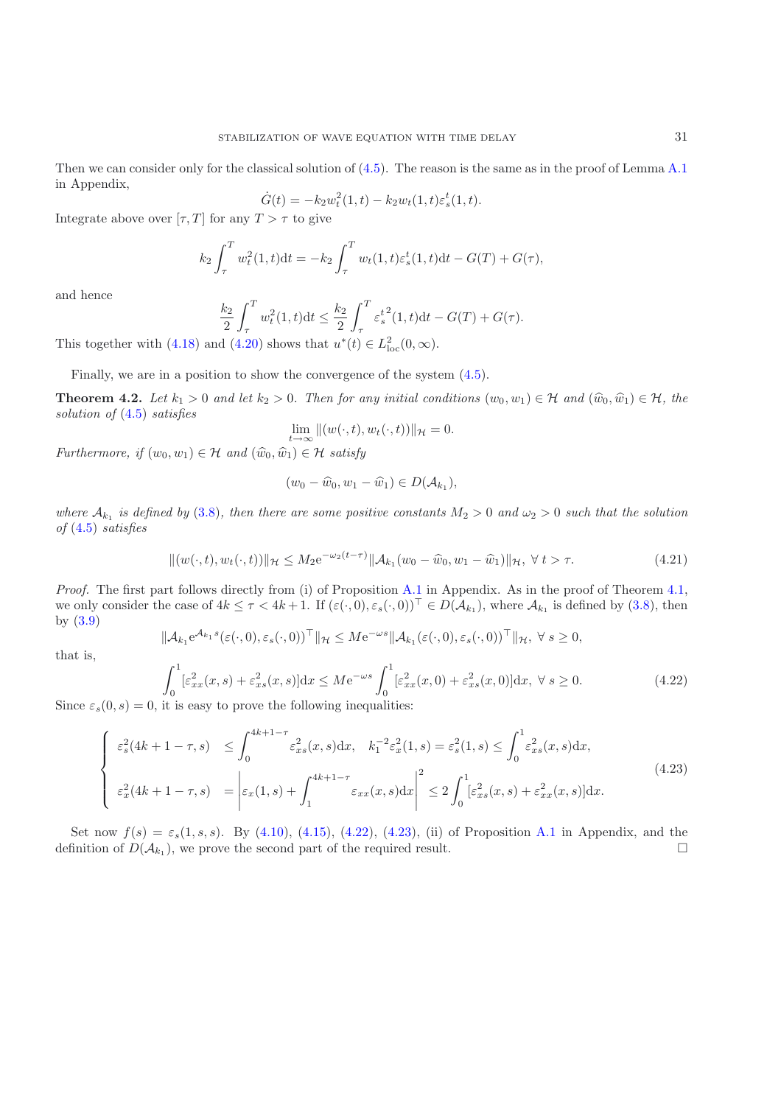Then we can consider only for the classical solution of  $(4.5)$ . The reason is the same as in the proof of Lemma [A.1](#page-11-0) in Appendix,

$$
\dot{G}(t) = -k_2 w_t^2(1, t) - k_2 w_t(1, t) \varepsilon_s^t(1, t).
$$

Integrate above over  $[\tau, T]$  for any  $T > \tau$  to give

$$
k_2 \int_{\tau}^{T} w_t^2(1,t)dt = -k_2 \int_{\tau}^{T} w_t(1,t) \varepsilon_s^t(1,t)dt - G(T) + G(\tau),
$$

and hence

$$
\frac{k_2}{2} \int_{\tau}^{T} w_t^2(1, t) dt \le \frac{k_2}{2} \int_{\tau}^{T} \varepsilon_s^{t^2}(1, t) dt - G(T) + G(\tau).
$$

This together with [\(4.18\)](#page-8-3) and [\(4.20\)](#page-8-4) shows that  $u^*(t) \in L^2_{loc}(0, \infty)$ .

Finally, we are in a position to show the convergence of the system [\(4.5\)](#page-6-2).

**Theorem 4.2.** *Let*  $k_1 > 0$  *and let*  $k_2 > 0$ *. Then for any initial conditions*  $(w_0, w_1) \in \mathcal{H}$  *and*  $(\hat{w}_0, \hat{w}_1) \in \mathcal{H}$ *, the solution of* [\(4.5\)](#page-6-2) *satisfies*

$$
\lim_{t \to \infty} \|(w(\cdot, t), w_t(\cdot, t))\|_{\mathcal{H}} = 0.
$$

*Furthermore, if*  $(w_0, w_1) \in \mathcal{H}$  *and*  $(\widehat{w}_0, \widehat{w}_1) \in \mathcal{H}$  *satisfy* 

$$
(w_0-\widehat{w}_0, w_1-\widehat{w}_1)\in D(\mathcal{A}_{k_1}),
$$

*where*  $A_{k_1}$  *is defined by* [\(3.8\)](#page-4-4)*, then there are some positive constants*  $M_2 > 0$  *and*  $\omega_2 > 0$  *such that the solution of* [\(4.5\)](#page-6-2) *satisfies*

$$
\|(w(\cdot,t),w_t(\cdot,t))\|_{\mathcal{H}} \le M_2 e^{-\omega_2(t-\tau)} \|\mathcal{A}_{k_1}(w_0 - \widehat{w}_0, w_1 - \widehat{w}_1)\|_{\mathcal{H}}, \ \forall \ t > \tau.
$$
 (4.21)

*Proof.* The first part follows directly from (i) of Proposition [A.1](#page-11-0) in Appendix. As in the proof of Theorem [4.1,](#page-6-6) we only consider the case of  $4k \leq \tau < 4k+1$ . If  $(\varepsilon(\cdot, 0), \varepsilon_s(\cdot, 0))^{\top} \in D(\mathcal{A}_{k_1})$ , where  $\mathcal{A}_{k_1}$  is defined by  $(3.8)$ , then by [\(3.9\)](#page-4-5)

$$
\|\mathcal{A}_{k_1}e^{\mathcal{A}_{k_1}s}(\varepsilon(\cdot,0),\varepsilon_s(\cdot,0))^{\top}\|_{\mathcal{H}} \leq M e^{-\omega s} \|\mathcal{A}_{k_1}(\varepsilon(\cdot,0),\varepsilon_s(\cdot,0))^{\top}\|_{\mathcal{H}}, \ \forall \ s\geq 0,
$$

<span id="page-9-0"></span>that is,

$$
\int_0^1 \left[\varepsilon_{xx}^2(x,s) + \varepsilon_{xs}^2(x,s)\right] dx \le M e^{-\omega s} \int_0^1 \left[\varepsilon_{xx}^2(x,0) + \varepsilon_{xs}^2(x,0)\right] dx, \ \forall \ s \ge 0. \tag{4.22}
$$

Since  $\varepsilon_s(0, s) = 0$ , it is easy to prove the following inequalities:

$$
\begin{cases}\n\varepsilon_s^2(4k+1-\tau,s) & \leq \int_0^{4k+1-\tau} \varepsilon_{xs}^2(x,s) \, dx, \quad k_1^{-2} \varepsilon_x^2(1,s) = \varepsilon_s^2(1,s) \leq \int_0^1 \varepsilon_{xs}^2(x,s) \, dx, \\
\varepsilon_x^2(4k+1-\tau,s) &= \left| \varepsilon_x(1,s) + \int_1^{4k+1-\tau} \varepsilon_{xx}(x,s) \, dx \right|^2 \leq 2 \int_0^1 [\varepsilon_{xs}^2(x,s) + \varepsilon_{xx}^2(x,s)] \, dx.\n\end{cases}\n\tag{4.23}
$$

<span id="page-9-1"></span>Set now  $f(s) = \varepsilon_s(1, s, s)$ . By [\(4.10\)](#page-7-3), [\(4.15\)](#page-7-4), [\(4.22\)](#page-9-0), [\(4.23\)](#page-9-1), (ii) of Proposition [A.1](#page-11-0) in Appendix, and the finition of  $D(A_k)$ , we prove the second part of the required result. definition of  $D(\mathcal{A}_{k_1})$ , we prove the second part of the required result.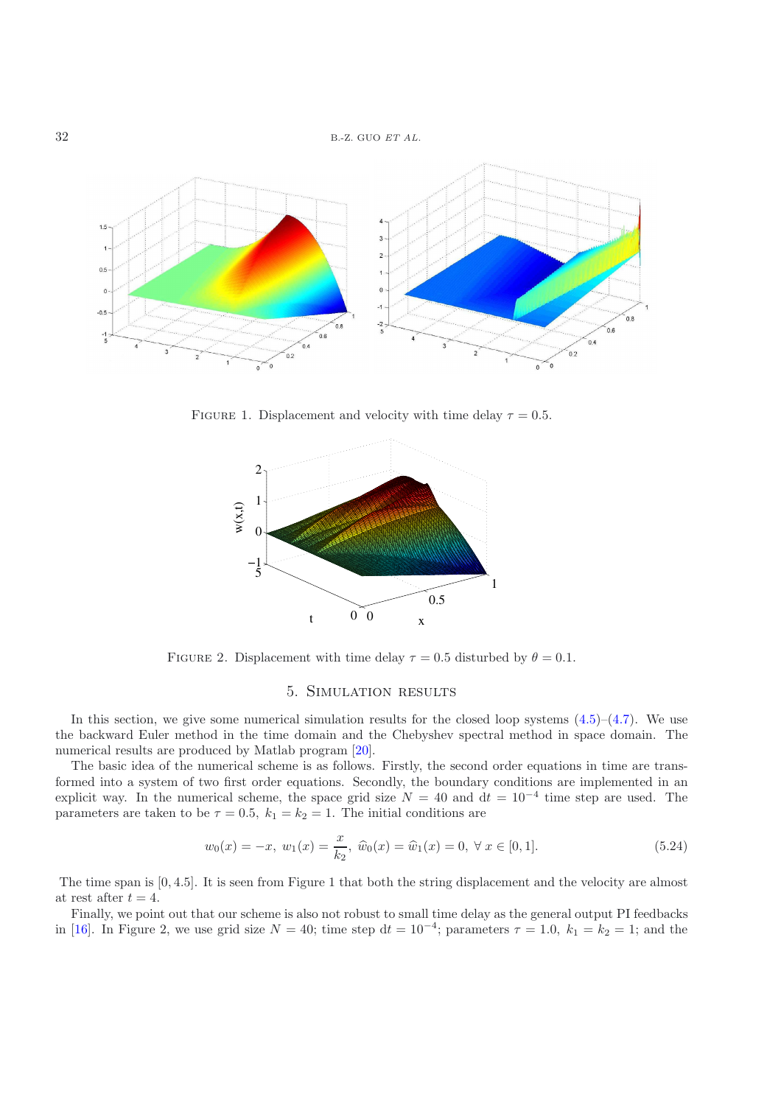

FIGURE 1. Displacement and velocity with time delay  $\tau = 0.5$ .



FIGURE 2. Displacement with time delay  $\tau = 0.5$  disturbed by  $\theta = 0.1$ .

#### 5. Simulation results

In this section, we give some numerical simulation results for the closed loop systems  $(4.5)$ – $(4.7)$ . We use the backward Euler method in the time domain and the Chebyshev spectral method in space domain. The numerical results are produced by Matlab program [\[20\]](#page-13-19).

The basic idea of the numerical scheme is as follows. Firstly, the second order equations in time are transformed into a system of two first order equations. Secondly, the boundary conditions are implemented in an explicit way. In the numerical scheme, the space grid size  $N = 40$  and  $dt = 10^{-4}$  time step are used. The parameters are taken to be  $\tau = 0.5$ ,  $k_1 = k_2 = 1$ . The initial conditions are

$$
w_0(x) = -x, \ w_1(x) = \frac{x}{k_2}, \ \hat{w}_0(x) = \hat{w}_1(x) = 0, \ \forall \ x \in [0, 1]. \tag{5.24}
$$

<span id="page-10-0"></span>The time span is [0, <sup>4</sup>.5]. It is seen from Figure 1 that both the string displacement and the velocity are almost at rest after  $t = 4$ .

Finally, we point out that our scheme is also not robust to small time delay as the general output PI feedbacks in [\[16\]](#page-13-7). In Figure 2, we use grid size  $N = 40$ ; time step  $dt = 10^{-4}$ ; parameters  $\tau = 1.0$ ,  $k_1 = k_2 = 1$ ; and the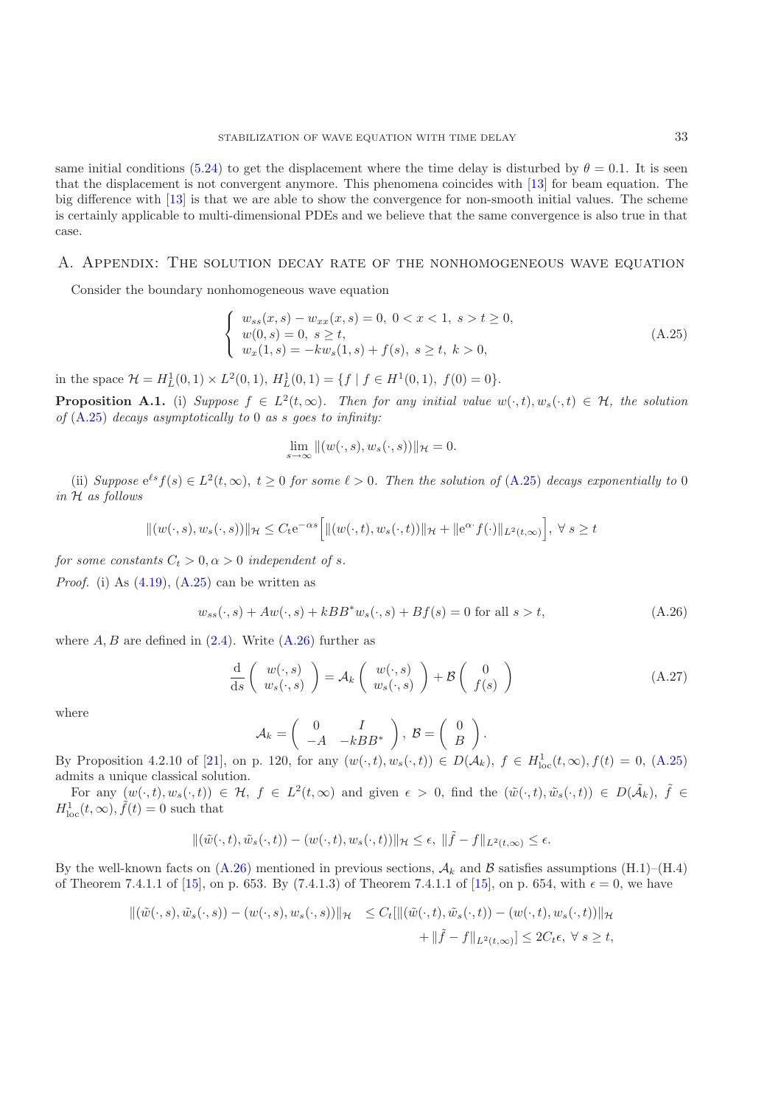same initial conditions [\(5.24\)](#page-10-0) to get the displacement where the time delay is disturbed by  $\theta = 0.1$ . It is seen that the displacement is not convergent anymore. This phenomena coincides with [\[13](#page-13-13)] for beam equation. The big difference with [\[13](#page-13-13)] is that we are able to show the convergence for non-smooth initial values. The scheme is certainly applicable to multi-dimensional PDEs and we believe that the same convergence is also true in that case.

### A. Appendix: The solution decay rate of the nonhomogeneous wave equation

<span id="page-11-1"></span>Consider the boundary nonhomogeneous wave equation

$$
\begin{cases}\nw_{ss}(x,s) - w_{xx}(x,s) = 0, \ 0 < x < 1, \ s > t \ge 0, \\
w(0,s) = 0, \ s \ge t, \\
w_x(1,s) = -kw_s(1,s) + f(s), \ s \ge t, \ k > 0,\n\end{cases} \tag{A.25}
$$

<span id="page-11-0"></span>in the space  $\mathcal{H} = H_L^1(0,1) \times L^2(0,1), H_L^1(0,1) = \{f \mid f \in H^1(0,1), f(0) = 0\}.$ 

**Proposition A.1.** (i) *Suppose*  $f \in L^2(t,\infty)$ *. Then for any initial value*  $w(\cdot,t), w_s(\cdot,t) \in \mathcal{H}$ *, the solution of* [\(A.25\)](#page-11-1) *decays asymptotically to* <sup>0</sup> *as* s *goes to infinity:*

$$
\lim_{s \to \infty} \|(w(\cdot, s), w_s(\cdot, s))\|_{\mathcal{H}} = 0.
$$

(ii) *Suppose*  $e^{\ell s} f(s) \in L^2(t, \infty)$ ,  $t \geq 0$  *for some*  $\ell > 0$ . Then the solution of [\(A.25\)](#page-11-1) *decays exponentially to* 0 *in* H *as follows*

$$
\|(w(\cdot,s),w_s(\cdot,s))\|_{\mathcal{H}} \leq C_t e^{-\alpha s} \Big[ \|(w(\cdot,t),w_s(\cdot,t))\|_{\mathcal{H}} + \|e^{\alpha \cdot} f(\cdot)\|_{L^2(t,\infty)} \Big], \ \forall \ s \geq t
$$

*for some constants*  $C_t > 0, \alpha > 0$  *independent of s.* 

<span id="page-11-2"></span>*Proof.* (i) As [\(4.19\)](#page-8-2), [\(A.25\)](#page-11-1) can be written as

$$
w_{ss}(\cdot, s) + Aw(\cdot, s) + kBB^*w_s(\cdot, s) + Bf(s) = 0 \text{ for all } s > t,
$$
\n(A.26)

where  $A, B$  are defined in  $(2.4)$ . Write  $(A.26)$  further as

$$
\frac{\mathrm{d}}{\mathrm{d}s} \left( \begin{array}{c} w(\cdot, s) \\ w_s(\cdot, s) \end{array} \right) = \mathcal{A}_k \left( \begin{array}{c} w(\cdot, s) \\ w_s(\cdot, s) \end{array} \right) + \mathcal{B} \left( \begin{array}{c} 0 \\ f(s) \end{array} \right) \tag{A.27}
$$

where

$$
\mathcal{A}_k = \left( \begin{array}{cc} 0 & I \\ -A & -kBB^* \end{array} \right), \ \mathcal{B} = \left( \begin{array}{c} 0 \\ B \end{array} \right).
$$

By Proposition 4.2.10 of [\[21\]](#page-13-17), on p. 120, for any  $(w(\cdot,t), w_s(\cdot,t)) \in D(\mathcal{A}_k)$ ,  $f \in H^1_{loc}(t,\infty)$ ,  $f(t) = 0$ , [\(A.25\)](#page-11-1)<br>admits a unique classical solution admits a unique classical solution.

For any  $(w(\cdot,t), w_s(\cdot,t)) \in \mathcal{H}, f \in L^2(t,\infty)$  and given  $\epsilon > 0$ , find the  $(\tilde{w}(\cdot,t), \tilde{w}_s(\cdot,t)) \in D(\tilde{\mathcal{A}}_k)$ ,  $\tilde{f} \in$  $H_{\text{loc}}^1(t,\infty), \tilde{f}(t) = 0$  such that

$$
\|(\tilde{w}(\cdot,t),\tilde{w}_s(\cdot,t)) - (w(\cdot,t),w_s(\cdot,t))\|_{\mathcal{H}} \leq \epsilon, \ \|\tilde{f} - f\|_{L^2(t,\infty)} \leq \epsilon.
$$

By the well-known facts on  $(A.26)$  mentioned in previous sections,  $A_k$  and B satisfies assumptions  $(H.1)$ – $(H.4)$ of Theorem 7.4.1.1 of [\[15](#page-13-20)], on p. 653. By (7.4.1.3) of Theorem 7.4.1.1 of [\[15\]](#page-13-20), on p. 654, with  $\epsilon = 0$ , we have

$$
\begin{aligned} \left\| \left( \tilde{w}(\cdot, s), \tilde{w}_s(\cdot, s) \right) - \left( w(\cdot, s), w_s(\cdot, s) \right) \right\|_{\mathcal{H}} &\leq C_t \left[ \left\| \left( \tilde{w}(\cdot, t), \tilde{w}_s(\cdot, t) \right) - \left( w(\cdot, t), w_s(\cdot, t) \right) \right\|_{\mathcal{H}} \\ &+ \left\| \tilde{f} - f \right\|_{L^2(t, \infty)} \right] \leq 2C_t \epsilon, \ \forall \ s \geq t, \end{aligned}
$$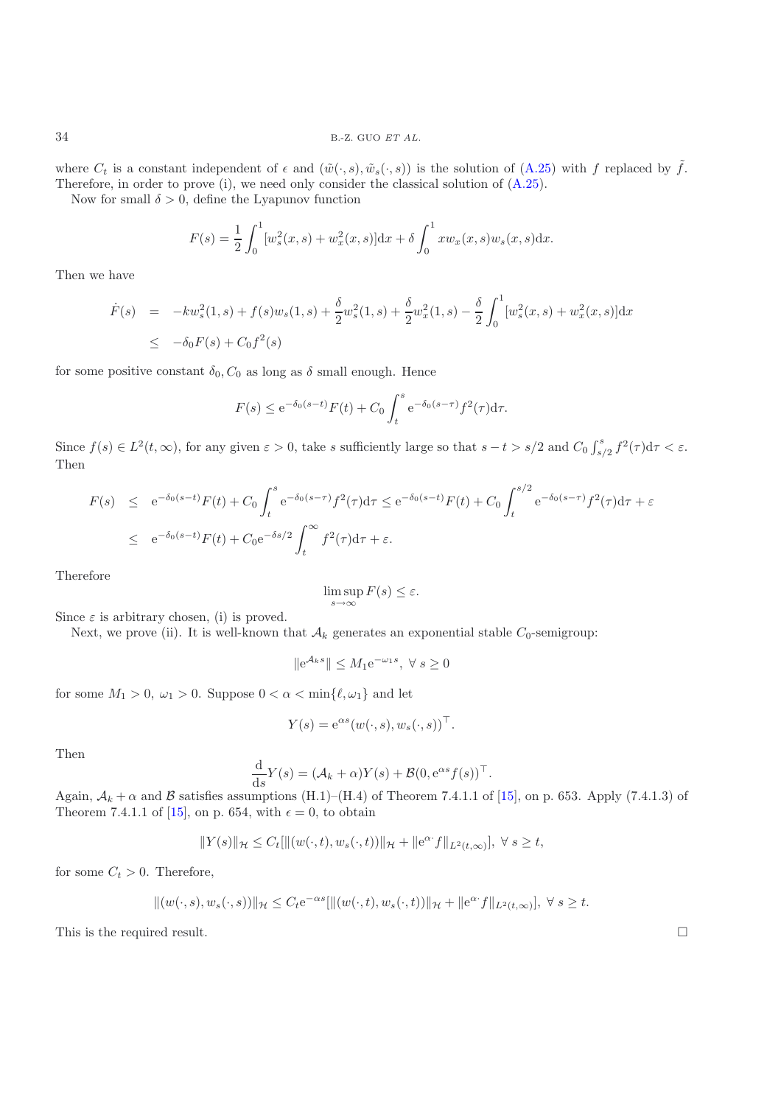where  $C_t$  is a constant independent of  $\epsilon$  and  $(\tilde{w}(\cdot, s), \tilde{w}_s(\cdot, s))$  is the solution of  $(A.25)$  with f replaced by  $\tilde{f}$ . Therefore, in order to prove (i), we need only consider the classical solution of [\(A.25\)](#page-11-1).

Now for small  $\delta > 0$ , define the Lyapunov function

$$
F(s) = \frac{1}{2} \int_0^1 [w_s^2(x, s) + w_x^2(x, s)] \mathrm{d}x + \delta \int_0^1 x w_x(x, s) w_s(x, s) \mathrm{d}x.
$$

Then we have

$$
\dot{F}(s) = -kw_s^2(1,s) + f(s)w_s(1,s) + \frac{\delta}{2}w_s^2(1,s) + \frac{\delta}{2}w_x^2(1,s) - \frac{\delta}{2} \int_0^1 [w_s^2(x,s) + w_x^2(x,s)]dx
$$
  
\n
$$
\leq -\delta_0 F(s) + C_0 f^2(s)
$$

for some positive constant  $\delta_0$ ,  $C_0$  as long as  $\delta$  small enough. Hence

$$
F(s) \le e^{-\delta_0(s-t)} F(t) + C_0 \int_t^s e^{-\delta_0(s-\tau)} f^2(\tau) d\tau.
$$

Since  $f(s) \in L^2(t,\infty)$ , for any given  $\varepsilon > 0$ , take s sufficiently large so that  $s - t > s/2$  and  $C_0 \int_{s/2}^s f^2(\tau) d\tau < \varepsilon$ . Then

$$
F(s) \le e^{-\delta_0(s-t)} F(t) + C_0 \int_t^s e^{-\delta_0(s-\tau)} f^2(\tau) d\tau \le e^{-\delta_0(s-t)} F(t) + C_0 \int_t^{s/2} e^{-\delta_0(s-\tau)} f^2(\tau) d\tau + \varepsilon
$$
  

$$
\le e^{-\delta_0(s-t)} F(t) + C_0 e^{-\delta s/2} \int_t^{\infty} f^2(\tau) d\tau + \varepsilon.
$$

Therefore

$$
\limsup_{s \to \infty} F(s) \le \varepsilon.
$$

Since  $\varepsilon$  is arbitrary chosen, (i) is proved.

Next, we prove (ii). It is well-known that  $A_k$  generates an exponential stable  $C_0$ -semigroup:

 $||e^{\mathcal{A}_k s}||$  ≤  $M_1 e^{-\omega_1 s}$ , ∀  $s \ge 0$ 

for some  $M_1 > 0$ ,  $\omega_1 > 0$ . Suppose  $0 < \alpha < \min\{\ell, \omega_1\}$  and let

$$
Y(s) = e^{\alpha s} (w(\cdot, s), w_s(\cdot, s))^{\top}.
$$

Then

$$
\frac{d}{ds}Y(s) = (\mathcal{A}_k + \alpha)Y(s) + \mathcal{B}(0, e^{\alpha s}f(s))^{\top}.
$$
  
rmptions (H 1)–(H 4) of Theorem 7.4.1.1 of

Again,  $\mathcal{A}_k + \alpha$  and  $\beta$  satisfies assumptions (H.1)–(H.4) of Theorem 7.4.1.1 of [\[15\]](#page-13-20), on p. 653. Apply (7.4.1.3) of Theorem 7.4.1.1 of [15] on p. 654, with  $\epsilon = 0$  to obtain Theorem 7.4.1.1 of [\[15\]](#page-13-20), on p. 654, with  $\epsilon = 0$ , to obtain

$$
||Y(s)||_{\mathcal{H}} \leq C_t[||(w(\cdot,t),w_s(\cdot,t))||_{\mathcal{H}} + ||e^{\alpha \cdot f}||_{L^2(t,\infty)}], \ \forall \ s \geq t,
$$

for some  $C_t > 0$ . Therefore,

$$
||(w(\cdot,s),w_s(\cdot,s))||_{\mathcal{H}} \leq C_t e^{-\alpha s} [||(w(\cdot,t),w_s(\cdot,t))||_{\mathcal{H}} + ||e^{\alpha \cdot f}||_{L^2(t,\infty)}], \ \forall \ s \geq t.
$$

This is the required result.  $\Box$